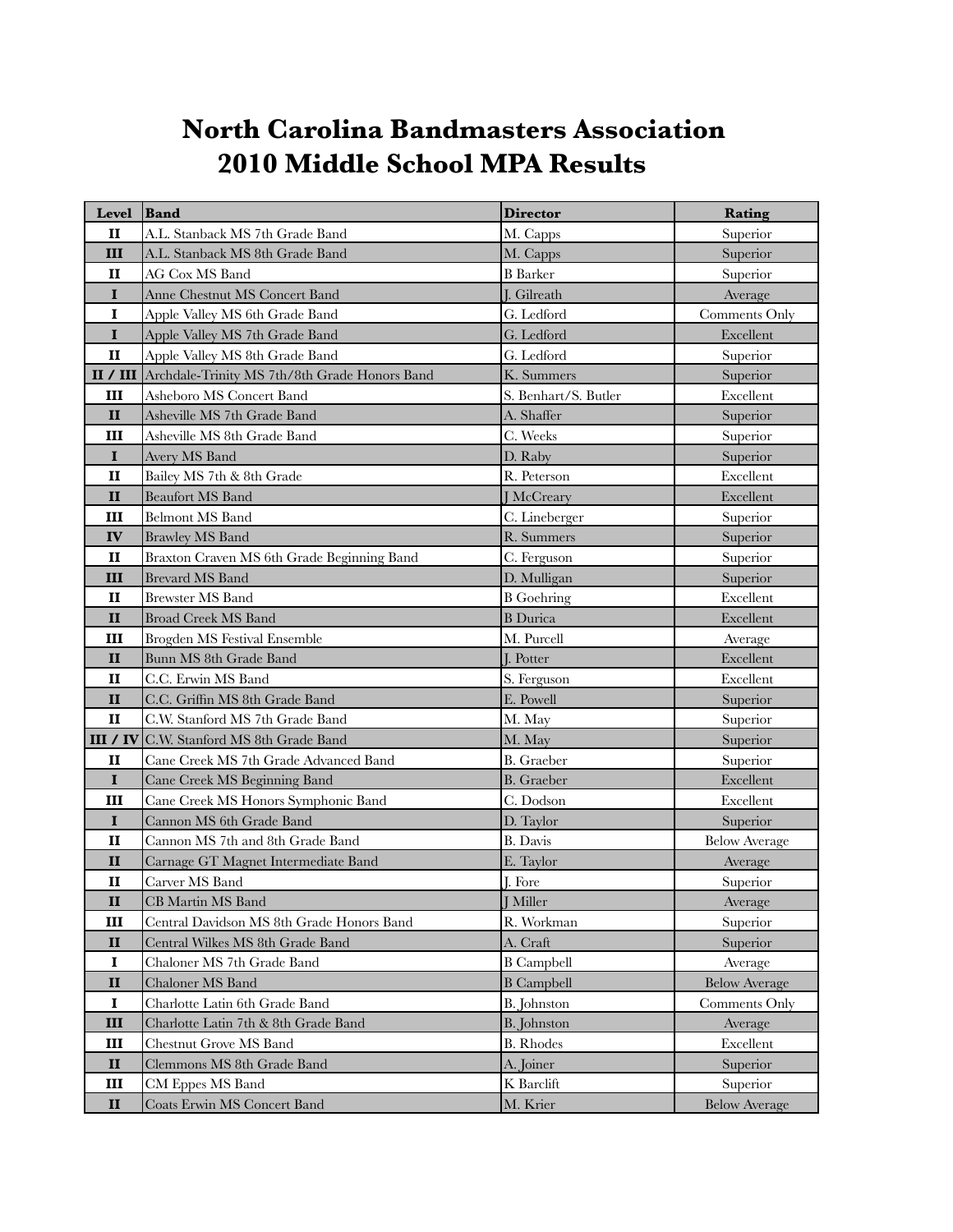## **North Carolina Bandmasters Association 2010 Middle School MPA Results**

| <b>Level</b> | Band                                            | <b>Director</b>      | Rating               |
|--------------|-------------------------------------------------|----------------------|----------------------|
| $\mathbf{I}$ | A.L. Stanback MS 7th Grade Band                 | M. Capps             | Superior             |
| Ш            | A.L. Stanback MS 8th Grade Band                 | M. Capps             | Superior             |
| II           | AG Cox MS Band                                  | <b>B</b> Barker      | Superior             |
| $\mathbf I$  | Anne Chestnut MS Concert Band                   | I. Gilreath          | Average              |
| $\mathbf I$  | Apple Valley MS 6th Grade Band                  | G. Ledford           | Comments Only        |
| $\mathbf I$  | Apple Valley MS 7th Grade Band                  | G. Ledford           | Excellent            |
| $\mathbf{I}$ | Apple Valley MS 8th Grade Band                  | G. Ledford           | Superior             |
| II / III     | Archdale-Trinity MS 7th/8th Grade Honors Band   | K. Summers           | Superior             |
| Ш            | Asheboro MS Concert Band                        | S. Benhart/S. Butler | Excellent            |
| $\mathbf{I}$ | Asheville MS 7th Grade Band                     | A. Shaffer           | Superior             |
| Ш            | Asheville MS 8th Grade Band                     | C. Weeks             | Superior             |
| $\mathbf I$  | Avery MS Band                                   | D. Raby              | Superior             |
| $\mathbf{I}$ | Bailey MS 7th & 8th Grade                       | R. Peterson          | Excellent            |
| $\mathbf{I}$ | <b>Beaufort MS Band</b>                         | <b>J</b> McCreary    | Excellent            |
| Ш            | <b>Belmont MS Band</b>                          | C. Lineberger        | Superior             |
| IV           | <b>Brawley MS Band</b>                          | R. Summers           | Superior             |
| $\mathbf{I}$ | Braxton Craven MS 6th Grade Beginning Band      | C. Ferguson          | Superior             |
| Ш            | <b>Brevard MS Band</b>                          | D. Mulligan          | Superior             |
| $\mathbf{I}$ | <b>Brewster MS Band</b>                         | <b>B</b> Goehring    | Excellent            |
| $\mathbf{I}$ | <b>Broad Creek MS Band</b>                      | <b>B</b> Durica      | Excellent            |
| Ш            | Brogden MS Festival Ensemble                    | M. Purcell           | Average              |
| $\mathbf{I}$ | Bunn MS 8th Grade Band                          | J. Potter            | Excellent            |
| $\mathbf{I}$ | C.C. Erwin MS Band                              | S. Ferguson          | Excellent            |
| $\mathbf{I}$ | C.C. Griffin MS 8th Grade Band                  | E. Powell            | Superior             |
| $\mathbf{I}$ | C.W. Stanford MS 7th Grade Band                 | M. May               | Superior             |
|              | <b>III / IV</b> C.W. Stanford MS 8th Grade Band | M. May               | Superior             |
| $\mathbf{I}$ | Cane Creek MS 7th Grade Advanced Band           | <b>B.</b> Graeber    | Superior             |
| $\mathbf I$  | Cane Creek MS Beginning Band                    | <b>B.</b> Graeber    | Excellent            |
| Ш            | Cane Creek MS Honors Symphonic Band             | C. Dodson            | Excellent            |
| $\mathbf I$  | Cannon MS 6th Grade Band                        | D. Taylor            | Superior             |
| $\mathbf{I}$ | Cannon MS 7th and 8th Grade Band                | <b>B.</b> Davis      | <b>Below Average</b> |
| $\mathbf{I}$ | Carnage GT Magnet Intermediate Band             | E. Taylor            | Average              |
| $\mathbf{I}$ | Carver MS Band                                  | J. Fore              | Superior             |
| $\mathbf{I}$ | CB Martin MS Band                               | <b>J</b> Miller      | Average              |
| Ш            | Central Davidson MS 8th Grade Honors Band       | R. Workman           | Superior             |
| $\mathbf{I}$ | Central Wilkes MS 8th Grade Band                | A. Craft             | Superior             |
| $\mathbf I$  | Chaloner MS 7th Grade Band                      | <b>B</b> Campbell    | Average              |
| $\mathbf{I}$ | Chaloner MS Band                                | <b>B</b> Campbell    | <b>Below Average</b> |
| 1            | Charlotte Latin 6th Grade Band                  | B. Johnston          | Comments Only        |
| III          | Charlotte Latin 7th & 8th Grade Band            | B. Johnston          | Average              |
| Ш            | <b>Chestnut Grove MS Band</b>                   | <b>B.</b> Rhodes     | Excellent            |
| $\mathbf{I}$ | Clemmons MS 8th Grade Band                      | A. Joiner            | Superior             |
| Ш            | CM Eppes MS Band                                | K Barclift           | Superior             |
| $\mathbf{I}$ | Coats Erwin MS Concert Band                     | M. Krier             | <b>Below Average</b> |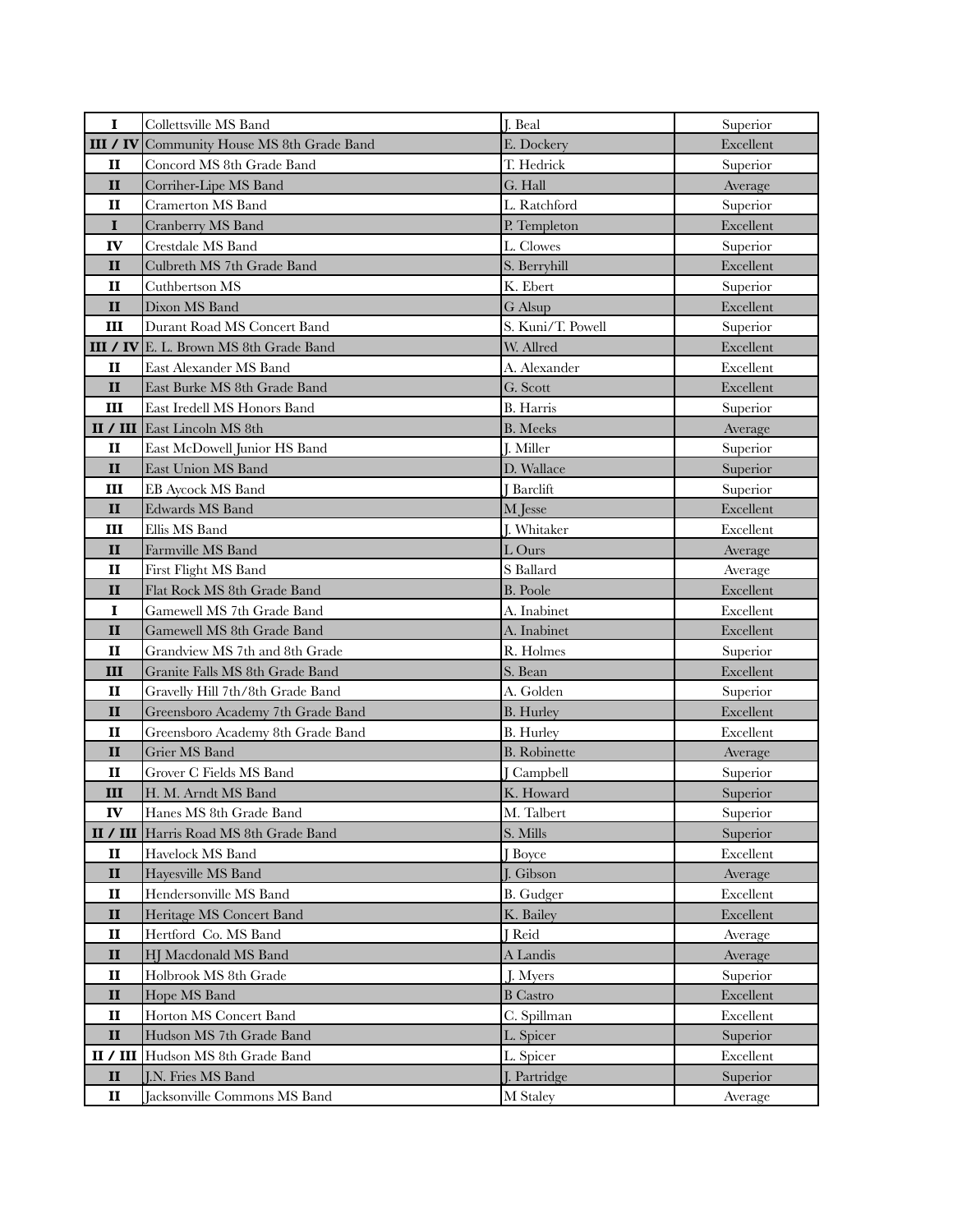| $\mathbf I$  | Collettsville MS Band               | J. Beal             | Superior  |
|--------------|-------------------------------------|---------------------|-----------|
| III / IV     | Community House MS 8th Grade Band   | E. Dockery          | Excellent |
| $\mathbf{I}$ | Concord MS 8th Grade Band           | T. Hedrick          | Superior  |
| $\mathbf{I}$ | Corriher-Lipe MS Band               | G. Hall             | Average   |
| $\mathbf{I}$ | <b>Cramerton MS Band</b>            | L. Ratchford        | Superior  |
| $\mathbf I$  | Cranberry MS Band                   | P. Templeton        | Excellent |
| IV           | Crestdale MS Band                   | L. Clowes           | Superior  |
| $\mathbf{I}$ | Culbreth MS 7th Grade Band          | S. Berryhill        | Excellent |
| $\mathbf{I}$ | Cuthbertson MS                      | K. Ebert            | Superior  |
| $\mathbf{I}$ | Dixon MS Band                       | G Alsup             | Excellent |
| Ш            | Durant Road MS Concert Band         | S. Kuni/T. Powell   | Superior  |
| III / IV     | E. L. Brown MS 8th Grade Band       | W. Allred           | Excellent |
| $\mathbf{I}$ | East Alexander MS Band              | A. Alexander        | Excellent |
| $\mathbf{I}$ | East Burke MS 8th Grade Band        | G. Scott            | Excellent |
| Ш            | East Iredell MS Honors Band         | <b>B.</b> Harris    | Superior  |
|              | <b>II / III</b> East Lincoln MS 8th | <b>B.</b> Meeks     | Average   |
| $\mathbf{I}$ | East McDowell Junior HS Band        | J. Miller           | Superior  |
| $\mathbf{I}$ | East Union MS Band                  | D. Wallace          | Superior  |
| Ш            | <b>EB Aycock MS Band</b>            | <b>Barclift</b>     | Superior  |
| $\mathbf{I}$ | <b>Edwards MS Band</b>              | M Jesse             | Excellent |
| Ш            | Ellis MS Band                       | J. Whitaker         | Excellent |
| $\mathbf{I}$ | Farmville MS Band                   | L Ours              | Average   |
| $\mathbf{I}$ | First Flight MS Band                | S Ballard           | Average   |
| $\mathbf{I}$ | Flat Rock MS 8th Grade Band         | <b>B.</b> Poole     | Excellent |
| $\mathbf I$  | Gamewell MS 7th Grade Band          | A. Inabinet         | Excellent |
| $\mathbf{I}$ | Gamewell MS 8th Grade Band          | A. Inabinet         | Excellent |
| $\mathbf{I}$ | Grandview MS 7th and 8th Grade      | R. Holmes           | Superior  |
| III          | Granite Falls MS 8th Grade Band     | S. Bean             | Excellent |
| $\mathbf{I}$ | Gravelly Hill 7th/8th Grade Band    | A. Golden           | Superior  |
| $\mathbf{I}$ | Greensboro Academy 7th Grade Band   | <b>B.</b> Hurley    | Excellent |
| $\mathbf{I}$ | Greensboro Academy 8th Grade Band   | <b>B.</b> Hurley    | Excellent |
| $\mathbf{I}$ | Grier MS Band                       | <b>B.</b> Robinette | Average   |
| $\mathbf{I}$ | Grover C Fields MS Band             | <b>Campbell</b>     | Superior  |
| Ш            | H. M. Arndt MS Band                 | K. Howard           | Superior  |
| ${\bf IV}$   | Hanes MS 8th Grade Band             | M. Talbert          | Superior  |
| II / III     | Harris Road MS 8th Grade Band       | S. Mills            | Superior  |
| $\mathbf{I}$ | Havelock MS Band                    | <b>Boyce</b>        | Excellent |
| $\mathbf{I}$ | Hayesville MS Band                  | J. Gibson           | Average   |
| $\mathbf{I}$ | Hendersonville MS Band              | <b>B.</b> Gudger    | Excellent |
| $\mathbf{I}$ | Heritage MS Concert Band            | K. Bailey           | Excellent |
| $\mathbf{I}$ | Hertford Co. MS Band                | J Reid              | Average   |
| $\mathbf{I}$ | HJ Macdonald MS Band                | A Landis            | Average   |
| $\mathbf{I}$ | Holbrook MS 8th Grade               | J. Myers            | Superior  |
| $\mathbf{I}$ | Hope MS Band                        | <b>B</b> Castro     | Excellent |
| $\mathbf{I}$ | Horton MS Concert Band              | C. Spillman         | Excellent |
| $\mathbf{I}$ | Hudson MS 7th Grade Band            | L. Spicer           | Superior  |
| II / III     | Hudson MS 8th Grade Band            | L. Spicer           | Excellent |
| $\mathbf{I}$ | J.N. Fries MS Band                  | J. Partridge        | Superior  |
| $\mathbf{I}$ | Jacksonville Commons MS Band        | M Staley            | Average   |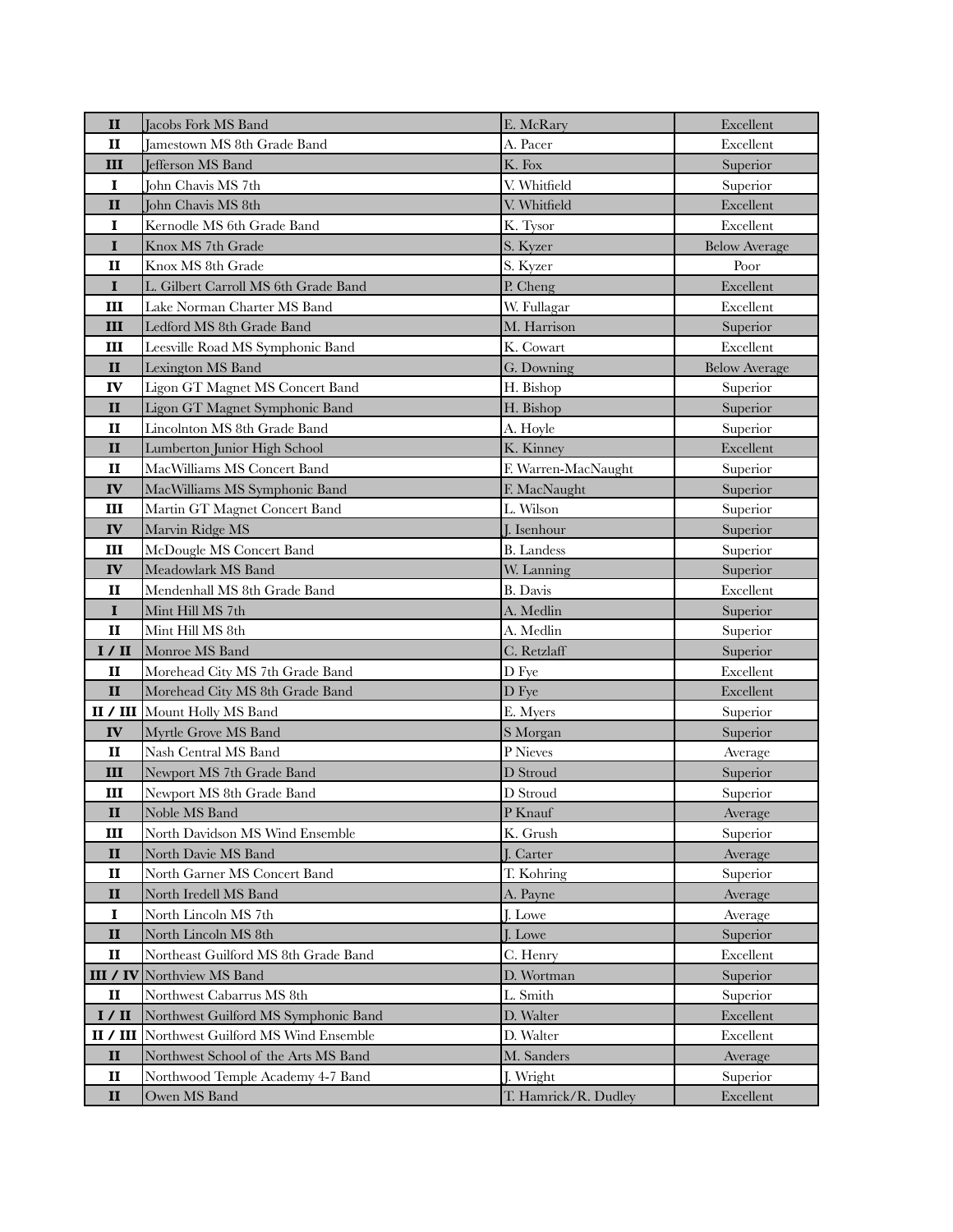| $\mathbf{I}$                 | <b>Jacobs Fork MS Band</b>                          | E. McRary               | Excellent            |
|------------------------------|-----------------------------------------------------|-------------------------|----------------------|
| $\mathbf{I}$                 | Jamestown MS 8th Grade Band                         | A. Pacer                | Excellent            |
| Ш                            | Jefferson MS Band                                   | K. Fox                  | Superior             |
| $\mathbf I$                  | John Chavis MS 7th                                  | V. Whitfield            | Superior             |
| $\mathbf{I}$                 | John Chavis MS 8th                                  | V. Whitfield            | Excellent            |
| I                            | Kernodle MS 6th Grade Band                          | K. Tysor                | Excellent            |
| $\mathbf I$                  | Knox MS 7th Grade                                   | S. Kyzer                | <b>Below Average</b> |
| $\mathbf{I}$                 | Knox MS 8th Grade                                   | S. Kyzer                | Poor                 |
| $\mathbf I$                  | L. Gilbert Carroll MS 6th Grade Band                | P. Cheng                | Excellent            |
| Ш                            | Lake Norman Charter MS Band                         | W. Fullagar             | Excellent            |
| Ш                            | Ledford MS 8th Grade Band                           | M. Harrison             | Superior             |
| Ш                            | Leesville Road MS Symphonic Band                    | K. Cowart               | Excellent            |
| $\mathbf{I}$                 | Lexington MS Band                                   | G. Downing              | <b>Below Average</b> |
| IV                           | Ligon GT Magnet MS Concert Band                     | H. Bishop               | Superior             |
| $\mathbf{I}$                 | Ligon GT Magnet Symphonic Band                      | H. Bishop               | Superior             |
| $\mathbf{I}$                 | Lincolnton MS 8th Grade Band                        | A. Hoyle                | Superior             |
| $\mathbf{I}$                 | Lumberton Junior High School                        | K. Kinney               | Excellent            |
| п                            | MacWilliams MS Concert Band                         | F. Warren-MacNaught     | Superior             |
| IV                           | MacWilliams MS Symphonic Band                       | F. MacNaught            | Superior             |
| Ш                            | Martin GT Magnet Concert Band                       | L. Wilson               | Superior             |
| IV                           | Marvin Ridge MS                                     | J. Isenhour             | Superior             |
| Ш                            | McDougle MS Concert Band                            | <b>B.</b> Landess       | Superior             |
| IV                           | Meadowlark MS Band                                  | W. Lanning              | Superior             |
| $\mathbf{I}$                 | Mendenhall MS 8th Grade Band                        | B. Davis                | Excellent            |
| $\mathbf I$                  | Mint Hill MS 7th                                    | A. Medlin               | Superior             |
| $\mathbf{I}$                 | Mint Hill MS 8th                                    | A. Medlin               | Superior             |
| I / II                       | Monroe MS Band                                      | C. Retzlaff             | Superior             |
| $\mathbf{I}$                 | Morehead City MS 7th Grade Band                     | D Fye                   | Excellent            |
| $\mathbf{I}$                 | Morehead City MS 8th Grade Band                     | D Fye                   | Excellent            |
|                              | II / III Mount Holly MS Band                        | E. Myers                | Superior             |
| IV                           | Myrtle Grove MS Band                                | S Morgan                | Superior             |
| $\mathbf{I}$                 | Nash Central MS Band                                | P Nieves                | Average              |
| III                          | Newport MS 7th Grade Band                           | D Stroud                | Superior             |
| Ш                            | Newport MS 8th Grade Band<br>Noble MS Band          | D Stroud                | Superior             |
| $\mathbf{I}$                 |                                                     | P Knauf                 | Average              |
| Ш                            | North Davidson MS Wind Ensemble                     | K. Grush                | Superior             |
| $\mathbf{I}$<br>$\mathbf{I}$ | North Davie MS Band<br>North Garner MS Concert Band | J. Carter<br>T. Kohring | Average<br>Superior  |
| $\mathbf{I}$                 | North Iredell MS Band                               | A. Payne                | Average              |
| $\mathbf I$                  | North Lincoln MS 7th                                | J. Lowe                 | Average              |
| $\mathbf{I}$                 | North Lincoln MS 8th                                | J. Lowe                 | Superior             |
| $\mathbf{I}$                 | Northeast Guilford MS 8th Grade Band                | C. Henry                | Excellent            |
|                              | <b>III / IV</b> Northview MS Band                   | D. Wortman              | Superior             |
| $\mathbf{I}\mathbf{I}$       | Northwest Cabarrus MS 8th                           | L. Smith                | Superior             |
| I / II                       | Northwest Guilford MS Symphonic Band                | D. Walter               | Excellent            |
|                              | <b>II / III</b> Northwest Guilford MS Wind Ensemble | D. Walter               | Excellent            |
| $\mathbf{I}$                 | Northwest School of the Arts MS Band                | M. Sanders              | Average              |
| $\mathbf{I}$                 | Northwood Temple Academy 4-7 Band                   | J. Wright               | Superior             |
| $\mathbf{I}$                 | Owen MS Band                                        | T. Hamrick/R. Dudley    | Excellent            |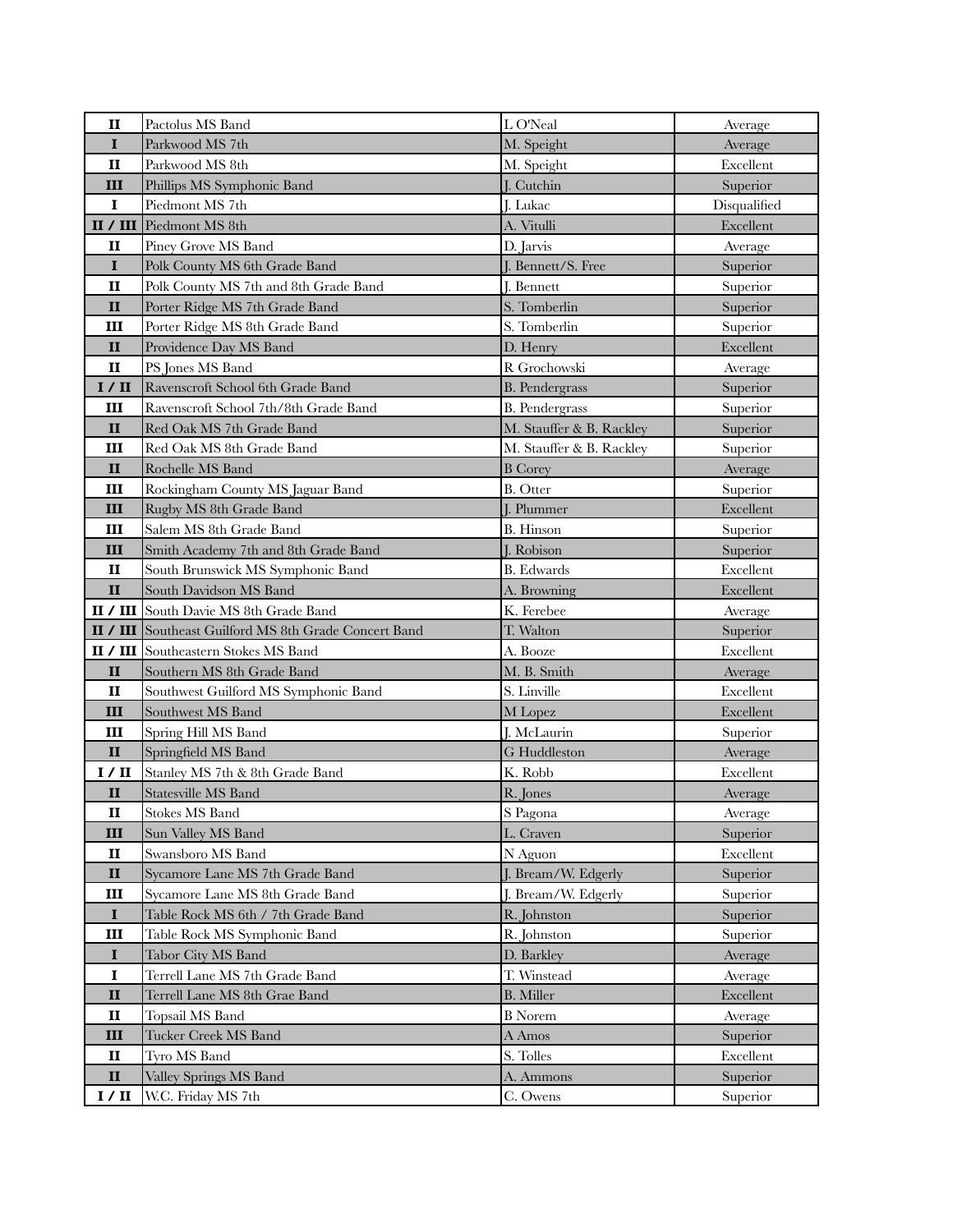| $\mathbf{I}$  | Pactolus MS Band                             | L O'Neal                 | Average      |
|---------------|----------------------------------------------|--------------------------|--------------|
| $\bf{I}$      | Parkwood MS 7th                              | M. Speight               | Average      |
| $\mathbf{I}$  | Parkwood MS 8th                              | M. Speight               | Excellent    |
| Ш             | Phillips MS Symphonic Band                   | J. Cutchin               | Superior     |
| $\bf{I}$      | Piedmont MS 7th                              | J. Lukac                 | Disqualified |
| II / III      | Piedmont MS 8th                              | A. Vitulli               | Excellent    |
| п             | Piney Grove MS Band                          | D. Jarvis                | Average      |
| $\mathbf I$   | Polk County MS 6th Grade Band                | J. Bennett/S. Free       | Superior     |
| $\mathbf{I}$  | Polk County MS 7th and 8th Grade Band        | J. Bennett               | Superior     |
| $\mathbf{I}$  | Porter Ridge MS 7th Grade Band               | S. Tomberlin             | Superior     |
| Ш             | Porter Ridge MS 8th Grade Band               | S. Tomberlin             | Superior     |
| $\mathbf{I}$  | Providence Day MS Band                       | D. Henry                 | Excellent    |
| $\mathbf{I}$  | PS Jones MS Band                             | R Grochowski             | Average      |
| I / II        | Ravenscroft School 6th Grade Band            | <b>B.</b> Pendergrass    | Superior     |
| Ш             | Ravenscroft School 7th/8th Grade Band        | <b>B.</b> Pendergrass    | Superior     |
| $\mathbf{I}$  | Red Oak MS 7th Grade Band                    | M. Stauffer & B. Rackley | Superior     |
| Ш             | Red Oak MS 8th Grade Band                    | M. Stauffer & B. Rackley | Superior     |
| II            | Rochelle MS Band                             | <b>B</b> Corey           | Average      |
| Ш             | Rockingham County MS Jaguar Band             | <b>B.</b> Otter          | Superior     |
| Ш             | Rugby MS 8th Grade Band                      | J. Plummer               | Excellent    |
| Ш             | Salem MS 8th Grade Band                      | <b>B.</b> Hinson         | Superior     |
| Ш             | Smith Academy 7th and 8th Grade Band         | J. Robison               | Superior     |
| $\mathbf{I}$  | South Brunswick MS Symphonic Band            | <b>B.</b> Edwards        | Excellent    |
| $\mathbf{I}$  | South Davidson MS Band                       | A. Browning              | Excellent    |
|               | II / III South Davie MS 8th Grade Band       | K. Ferebee               | Average      |
| II / III      | Southeast Guilford MS 8th Grade Concert Band | T. Walton                | Superior     |
|               | <b>II / III</b> Southeastern Stokes MS Band  | A. Booze                 | Excellent    |
| II            | Southern MS 8th Grade Band                   | M. B. Smith              | Average      |
| $\mathbf{I}$  | Southwest Guilford MS Symphonic Band         | S. Linville              | Excellent    |
| III           | Southwest MS Band                            | M Lopez                  | Excellent    |
| Ш             | Spring Hill MS Band                          | J. McLaurin              | Superior     |
| $\mathbf{I}$  | Springfield MS Band                          | G Huddleston             | Average      |
| I / II        | Stanley MS 7th & 8th Grade Band              | K. Robb                  | Excellent    |
| $\mathbf{I}$  | Statesville MS Band                          | R. Jones                 | Average      |
| $\mathbf{II}$ | Stokes MS Band                               | S Pagona                 | Average      |
| III           | Sun Valley MS Band                           | L. Craven                | Superior     |
| $\mathbf{I}$  | Swansboro MS Band                            | N Aguon                  | Excellent    |
| $\mathbf{I}$  | Sycamore Lane MS 7th Grade Band              | J. Bream/W. Edgerly      | Superior     |
| Ш             | Sycamore Lane MS 8th Grade Band              | J. Bream/W. Edgerly      | Superior     |
| $\mathbf I$   | Table Rock MS 6th / 7th Grade Band           | R. Johnston              | Superior     |
| Ш             | Table Rock MS Symphonic Band                 | R. Johnston              | Superior     |
| $\mathbf I$   | Tabor City MS Band                           | D. Barkley               | Average      |
| $\mathbf I$   | Terrell Lane MS 7th Grade Band               | T. Winstead              | Average      |
| $\mathbf{I}$  | Terrell Lane MS 8th Grae Band                | <b>B.</b> Miller         | Excellent    |
| $\mathbf{I}$  | Topsail MS Band                              | <b>B</b> Norem           | Average      |
| III           | Tucker Creek MS Band                         | A Amos                   | Superior     |
| $\mathbf{I}$  | Tyro MS Band                                 | S. Tolles                | Excellent    |
| $\mathbf{I}$  | Valley Springs MS Band                       | A. Ammons                | Superior     |
| I / II        | W.C. Friday MS 7th                           | C. Owens                 | Superior     |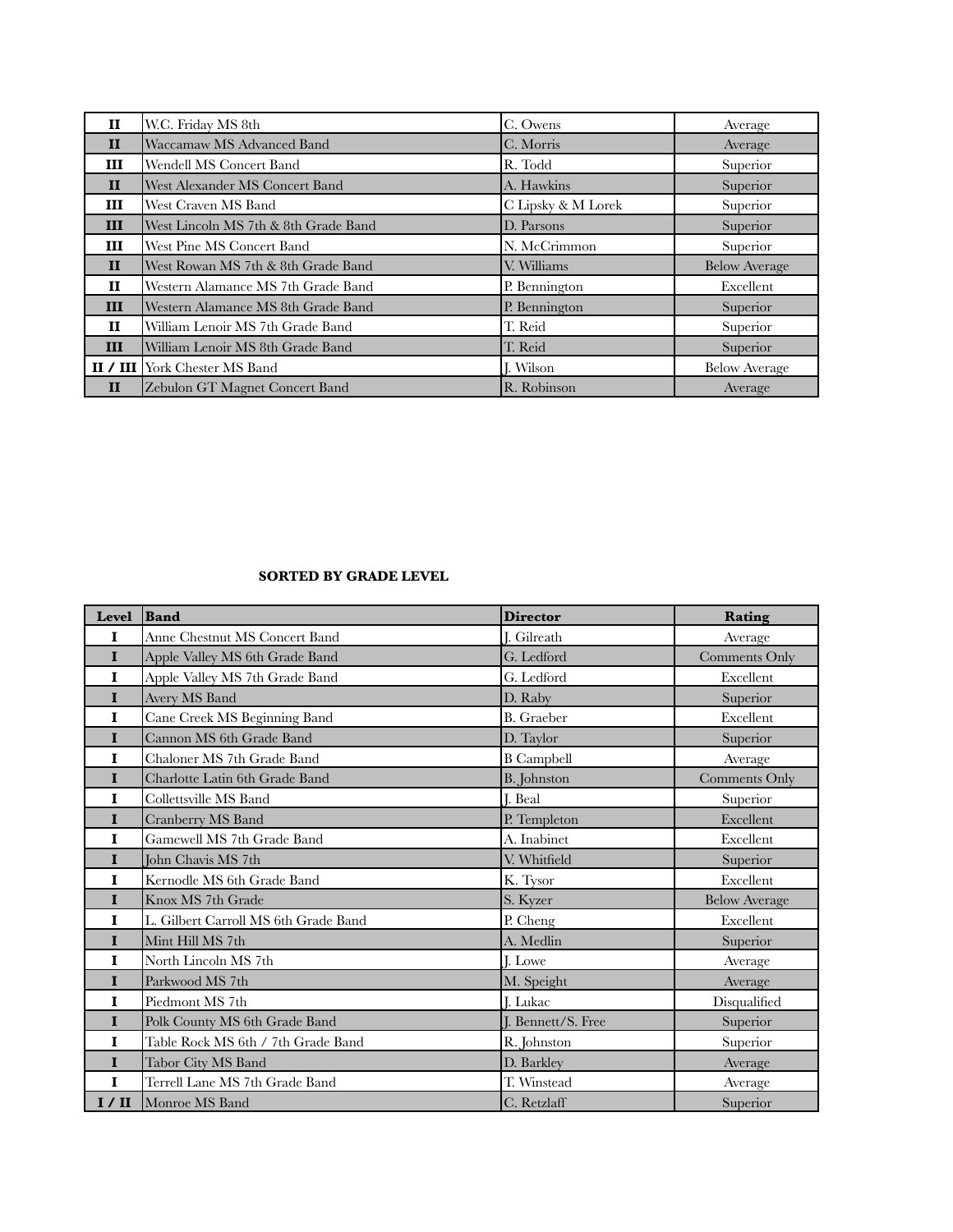| $\mathbf{H}$ | W.C. Friday MS 8th                          | C. Owens           | Average              |
|--------------|---------------------------------------------|--------------------|----------------------|
| $\mathbf{H}$ | Waccamaw MS Advanced Band                   | C. Morris          | Average              |
| Ш            | Wendell MS Concert Band                     | R. Todd            | Superior             |
| $\mathbf{H}$ | West Alexander MS Concert Band              | A. Hawkins         | Superior             |
| Ш            | West Craven MS Band                         | C Lipsky & M Lorek | Superior             |
| Ш            | West Lincoln MS 7th & 8th Grade Band        | D. Parsons         | Superior             |
| Ш            | West Pine MS Concert Band                   | N. McCrimmon       | Superior             |
| $\mathbf{H}$ | West Rowan MS 7th & 8th Grade Band          | V. Williams        | <b>Below Average</b> |
| и            | Western Alamance MS 7th Grade Band          | P. Bennington      | Excellent            |
| Ш            | Western Alamance MS 8th Grade Band          | P. Bennington      | Superior             |
| $\mathbf{H}$ | William Lenoir MS 7th Grade Band            | T. Reid            | Superior             |
| III          | William Lenoir MS 8th Grade Band            | T. Reid            | Superior             |
|              | <b>II</b> / <b>III</b> York Chester MS Band | II. Wilson         | <b>Below Average</b> |
| $\mathbf{H}$ | Zebulon GT Magnet Concert Band              | R. Robinson        | Average              |

## **SORTED BY GRADE LEVEL**

| <b>Level</b> | Band                                 | <b>Director</b>    | Rating               |
|--------------|--------------------------------------|--------------------|----------------------|
| I            | Anne Chestnut MS Concert Band        | I. Gilreath        | Average              |
| $\mathbf I$  | Apple Valley MS 6th Grade Band       | G. Ledford         | Comments Only        |
| $\mathbf I$  | Apple Valley MS 7th Grade Band       | G. Ledford         | Excellent            |
| $\mathbf I$  | Avery MS Band                        | D. Raby            | Superior             |
| $\mathbf I$  | Cane Creek MS Beginning Band         | <b>B.</b> Graeber  | Excellent            |
| $\mathbf{I}$ | Cannon MS 6th Grade Band             | D. Taylor          | Superior             |
| $\mathbf{I}$ | Chaloner MS 7th Grade Band           | <b>B</b> Campbell  | Average              |
| $\mathbf{I}$ | Charlotte Latin 6th Grade Band       | <b>B.</b> Johnston | Comments Only        |
| $\mathbf I$  | Collettsville MS Band                | <b>J.</b> Beal     | Superior             |
| $\mathbf{I}$ | <b>Cranberry MS Band</b>             | P. Templeton       | Excellent            |
| $\mathbf{I}$ | Gamewell MS 7th Grade Band           | A. Inabinet        | Excellent            |
| $\mathbf{I}$ | John Chavis MS 7th                   | V. Whitfield       | Superior             |
| $\mathbf I$  | Kernodle MS 6th Grade Band           | K. Tysor           | Excellent            |
| $\mathbf{I}$ | Knox MS 7th Grade                    | S. Kyzer           | <b>Below Average</b> |
| $\mathbf I$  | L. Gilbert Carroll MS 6th Grade Band | P. Cheng           | Excellent            |
| $\mathbf{I}$ | Mint Hill MS 7th                     | A. Medlin          | Superior             |
| $\mathbf I$  | North Lincoln MS 7th                 | J. Lowe            | Average              |
| $\mathbf{I}$ | Parkwood MS 7th                      | M. Speight         | Average              |
| $\mathbf I$  | Piedmont MS 7th                      | J. Lukac           | Disqualified         |
| $\mathbf{I}$ | Polk County MS 6th Grade Band        | I. Bennett/S. Free | Superior             |
| $\mathbf I$  | Table Rock MS 6th / 7th Grade Band   | R. Johnston        | Superior             |
| $\mathbf{I}$ | Tabor City MS Band                   | D. Barkley         | Average              |
| $\mathbf I$  | Terrell Lane MS 7th Grade Band       | T. Winstead        | Average              |
| I / II       | Monroe MS Band                       | C. Retzlaff        | Superior             |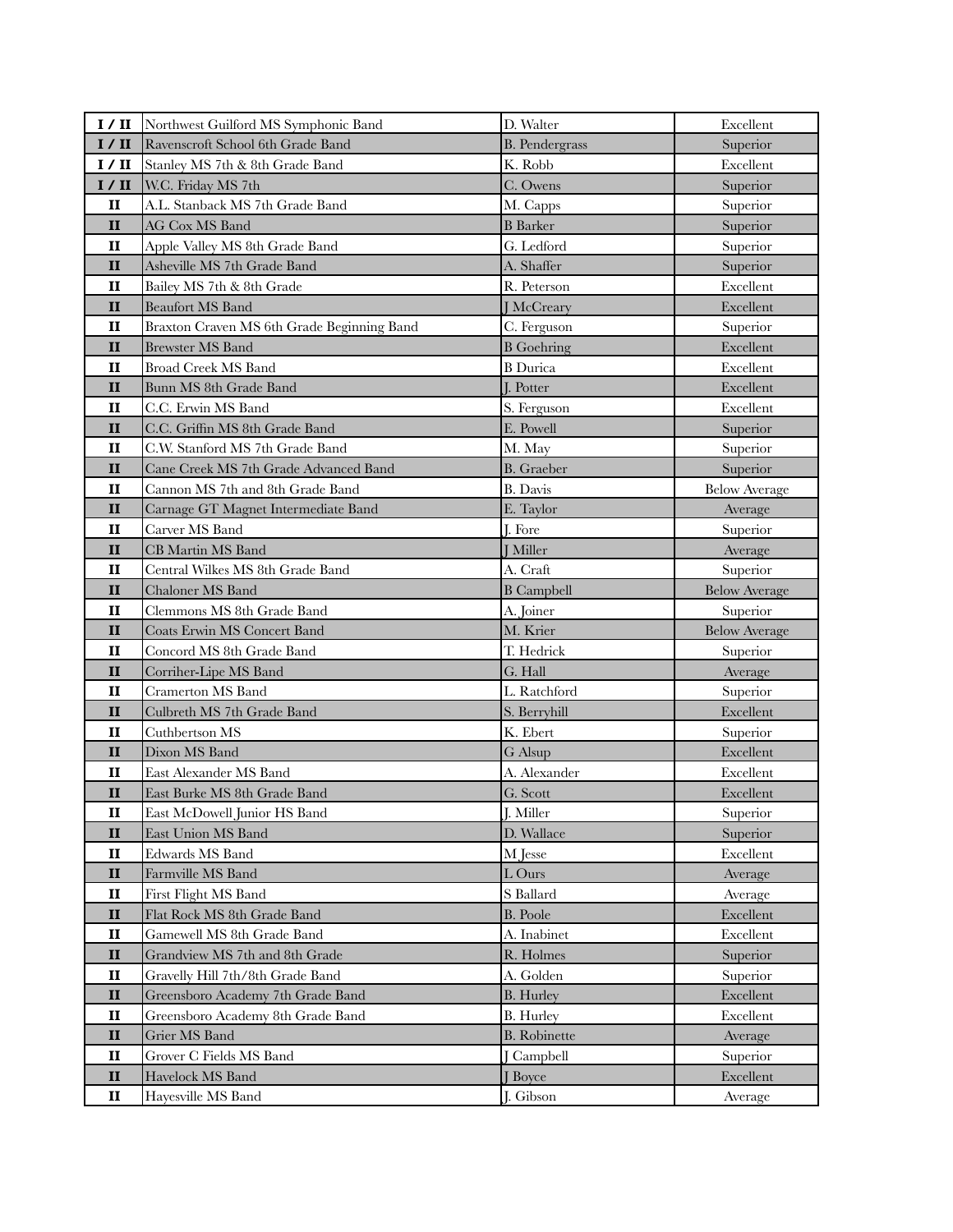| 1/II                         | Northwest Guilford MS Symphonic Band       | D. Walter             | Excellent            |
|------------------------------|--------------------------------------------|-----------------------|----------------------|
| I / II                       | Ravenscroft School 6th Grade Band          | <b>B.</b> Pendergrass | Superior             |
| I / II                       | Stanley MS 7th & 8th Grade Band            | K. Robb               | Excellent            |
| I / II                       | W.C. Friday MS 7th                         | C. Owens              | Superior             |
| П                            | A.L. Stanback MS 7th Grade Band            | M. Capps              | Superior             |
| $\mathbf{I}$                 | AG Cox MS Band                             | <b>B</b> Barker       | Superior             |
| $\mathbf{I}$                 | Apple Valley MS 8th Grade Band             | G. Ledford            | Superior             |
| $\mathbf{I}$                 | Asheville MS 7th Grade Band                | A. Shaffer            | Superior             |
| $\mathbf{I}$                 | Bailey MS 7th & 8th Grade                  | R. Peterson           | Excellent            |
| $\mathbf{I}$                 | <b>Beaufort MS Band</b>                    | <b>J</b> McCreary     | Excellent            |
| $\mathbf{I}$                 | Braxton Craven MS 6th Grade Beginning Band | C. Ferguson           | Superior             |
| $\mathbf{I}$                 | <b>Brewster MS Band</b>                    | <b>B</b> Goehring     | Excellent            |
| $\mathbf{I}$                 | <b>Broad Creek MS Band</b>                 | <b>B</b> Durica       | Excellent            |
| $\mathbf{I}$                 | Bunn MS 8th Grade Band                     | <b>I.</b> Potter      | Excellent            |
| $\mathbf{I}$                 | C.C. Erwin MS Band                         | S. Ferguson           | Excellent            |
| $\mathbf{I}$                 | C.C. Griffin MS 8th Grade Band             | E. Powell             | Superior             |
| $\mathbf{I}$                 | C.W. Stanford MS 7th Grade Band            | M. May                | Superior             |
| $\mathbf{I}$                 | Cane Creek MS 7th Grade Advanced Band      | <b>B.</b> Graeber     | Superior             |
| $\mathbf{I}$                 | Cannon MS 7th and 8th Grade Band           | <b>B.</b> Davis       | <b>Below Average</b> |
| $\mathbf{I}$                 | Carnage GT Magnet Intermediate Band        | E. Taylor             | Average              |
| $\mathbf{I}$                 | Carver MS Band                             | J. Fore               | Superior             |
| $\mathbf{I}$                 | <b>CB</b> Martin MS Band                   | <b>I</b> Miller       | Average              |
| $\mathbf{I}$                 | Central Wilkes MS 8th Grade Band           | A. Craft              | Superior             |
| $\mathbf{I}$                 | Chaloner MS Band                           | <b>B</b> Campbell     | <b>Below Average</b> |
| $\mathbf{I}$                 | Clemmons MS 8th Grade Band                 | A. Joiner             | Superior             |
| $\mathbf{I}$                 | <b>Coats Erwin MS Concert Band</b>         | M. Krier              | <b>Below Average</b> |
| $\mathbf{I}$                 | Concord MS 8th Grade Band                  | T. Hedrick            | Superior             |
| $\mathbf{I}$                 | Corriher-Lipe MS Band                      | G. Hall               | Average              |
| $\mathbf{I}$                 | <b>Cramerton MS Band</b>                   | L. Ratchford          | Superior             |
| $\mathbf{I}$                 | Culbreth MS 7th Grade Band                 | S. Berryhill          | Excellent            |
| $\mathbf{I}$                 | Cuthbertson MS                             | K. Ebert              | Superior             |
| $\mathbf{I}$                 | Dixon MS Band                              | G Alsup               | Excellent            |
| $\mathbf{I}$                 | East Alexander MS Band                     | A. Alexander          | Excellent            |
| $\mathbf{I}$                 | East Burke MS 8th Grade Band               | G. Scott              | Excellent            |
| $\mathbf{I}$                 | East McDowell Junior HS Band               | J. Miller             | Superior             |
| $\mathbf{H}$                 | East Union MS Band                         | D. Wallace            | Superior             |
| $\mathbf{I}$                 |                                            |                       |                      |
|                              | Edwards MS Band                            | M Jesse               | Excellent            |
| $\mathbf{I}$                 | Farmville MS Band                          | L Ours                | Average              |
| $\mathbf{I}$                 | <b>First Flight MS Band</b>                | S Ballard             | Average              |
| $\mathbf{I}$                 | Flat Rock MS 8th Grade Band                | <b>B.</b> Poole       | Excellent            |
| $\mathbf{I}$                 | Gamewell MS 8th Grade Band                 | A. Inabinet           | Excellent            |
| $\mathbf{I}$                 | Grandview MS 7th and 8th Grade             | R. Holmes             | Superior             |
| $\mathbf{I}$                 | Gravelly Hill 7th/8th Grade Band           | A. Golden             | Superior             |
| $\mathbf{I}$                 | Greensboro Academy 7th Grade Band          | <b>B.</b> Hurley      | Excellent            |
| $\mathbf{I}$                 | Greensboro Academy 8th Grade Band          | <b>B.</b> Hurley      | Excellent            |
| $\mathbf{I}$                 | Grier MS Band                              | <b>B.</b> Robinette   | Average              |
| $\mathbf{I}$                 | Grover C Fields MS Band                    | <b>[Campbell</b>      | Superior             |
| $\mathbf{I}$<br>$\mathbf{I}$ | Havelock MS Band<br>Hayesville MS Band     | J Boyce<br>J. Gibson  | Excellent<br>Average |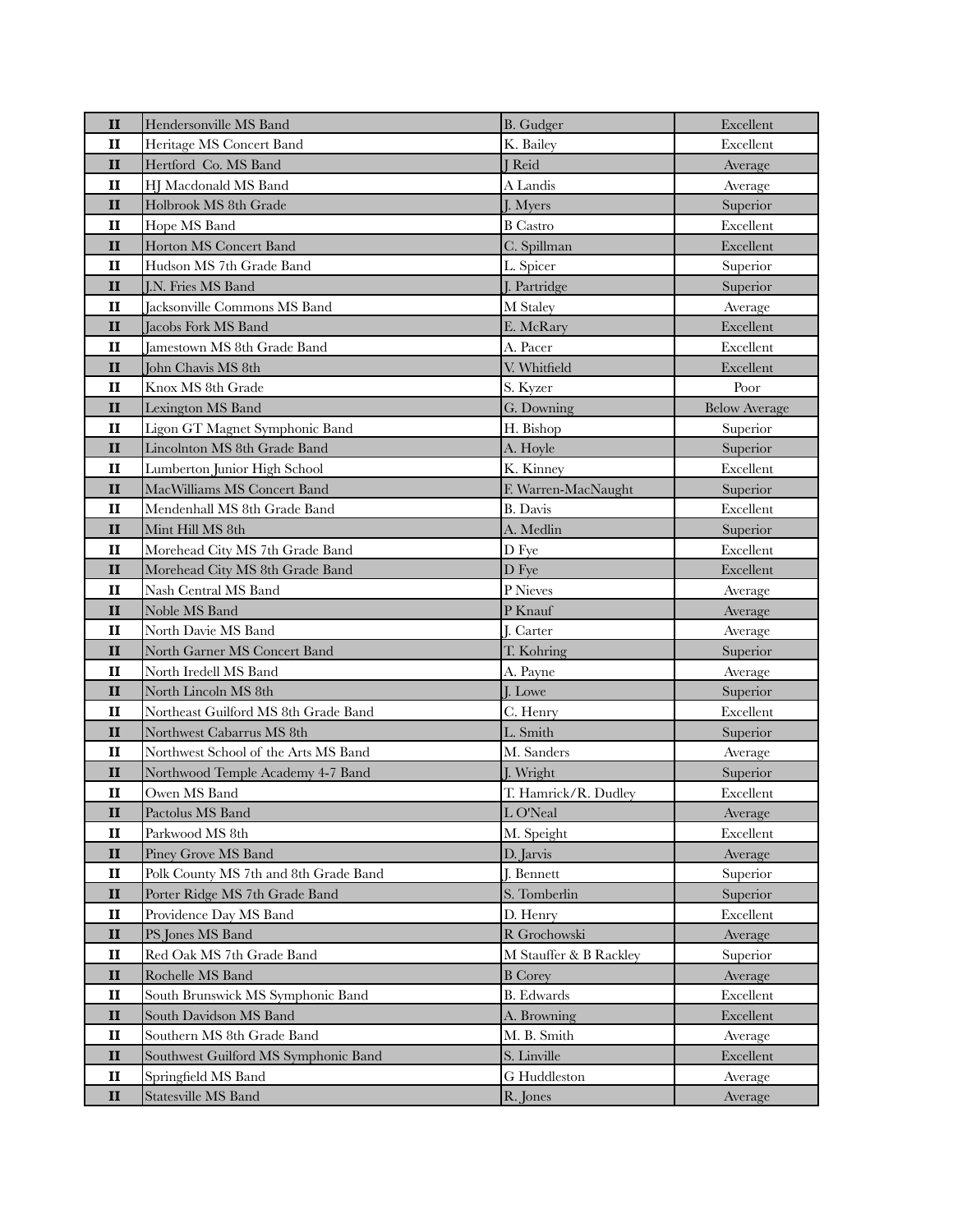| $\mathbf{I}$                 | Hendersonville MS Band                        | <b>B.</b> Gudger         | Excellent            |
|------------------------------|-----------------------------------------------|--------------------------|----------------------|
| $\mathbf{I}$                 | Heritage MS Concert Band                      | K. Bailey                | Excellent            |
| $\mathbf{I}$                 | Hertford Co. MS Band                          | <b>J</b> Reid            | Average              |
| $\mathbf{I}$                 | HJ Macdonald MS Band                          | A Landis                 | Average              |
| $\mathbf{I}$                 | Holbrook MS 8th Grade                         | J. Myers                 | Superior             |
| $\mathbf H$                  | Hope MS Band                                  | <b>B</b> Castro          | Excellent            |
| $\mathbf{I}$                 | Horton MS Concert Band                        | C. Spillman              | Excellent            |
| $\mathbf{I}$                 | Hudson MS 7th Grade Band                      | L. Spicer                | Superior             |
| $\mathbf{I}$                 | <b>J.N. Fries MS Band</b>                     | J. Partridge             | Superior             |
| $\mathbf{I}$                 | Jacksonville Commons MS Band                  | M Staley                 | Average              |
| $\mathbf{I}$                 | Jacobs Fork MS Band                           | E. McRary                | Excellent            |
| $\mathbf{I}$                 | Jamestown MS 8th Grade Band                   | A. Pacer                 | Excellent            |
| $\mathbf{I}$                 | John Chavis MS 8th                            | V. Whitfield             | Excellent            |
| $\mathbf{I}$                 | Knox MS 8th Grade                             | S. Kyzer                 | Poor                 |
| $\mathbf{I}$                 | Lexington MS Band                             | G. Downing               | <b>Below Average</b> |
| $\mathbf{I}$                 | Ligon GT Magnet Symphonic Band                | H. Bishop                | Superior             |
| $\mathbf{I}$                 | Lincolnton MS 8th Grade Band                  | A. Hoyle                 | Superior             |
| п                            | Lumberton Junior High School                  | K. Kinney                | Excellent            |
| $\mathbf{I}$                 | MacWilliams MS Concert Band                   | F. Warren-MacNaught      | Superior             |
| $\mathbf{I}$                 | Mendenhall MS 8th Grade Band                  | <b>B.</b> Davis          | Excellent            |
| $\mathbf{I}$                 | Mint Hill MS 8th                              | A. Medlin                | Superior             |
| $\mathbf{I}$                 | Morehead City MS 7th Grade Band               | D Fye                    | Excellent            |
| $\mathbf{I}$                 | Morehead City MS 8th Grade Band               | D Fye                    | Excellent            |
| п                            | Nash Central MS Band                          | P Nieves                 | Average              |
| $\mathbf{I}$                 | Noble MS Band                                 | P Knauf                  | Average              |
| $\mathbf{I}$                 | North Davie MS Band                           | <b>J.</b> Carter         | Average              |
| $\mathbf{I}$                 | North Garner MS Concert Band                  | T. Kohring               | Superior             |
| $\mathbf{I}$                 | North Iredell MS Band                         | A. Payne                 | Average              |
| $\mathbf{I}$                 | North Lincoln MS 8th                          | J. Lowe                  | Superior             |
| $\mathbf{I}$                 | Northeast Guilford MS 8th Grade Band          | C. Henry                 | Excellent            |
| $\mathbf{I}$                 | Northwest Cabarrus MS 8th                     | L. Smith                 | Superior             |
| $\mathbf{I}$                 | Northwest School of the Arts MS Band          | M. Sanders               | Average              |
| $\mathbf{I}$                 | Northwood Temple Academy 4-7 Band             | J. Wright                | Superior             |
| $\mathbf{I}$                 | Owen MS Band                                  | T. Hamrick/R. Dudley     | Excellent            |
| $\mathbf{I}$                 | Pactolus MS Band                              | L O'Neal                 | Average              |
| п                            | Parkwood MS 8th                               | M. Speight               | Excellent            |
| $\mathbf{I}$                 | Piney Grove MS Band                           | D. Jarvis                | Average              |
| $\mathbf{I}$                 | Polk County MS 7th and 8th Grade Band         | J. Bennett               | Superior             |
| $\mathbf{I}$                 | Porter Ridge MS 7th Grade Band                | S. Tomberlin             | Superior             |
| $\mathbf{I}$                 | Providence Day MS Band                        | D. Henry<br>R Grochowski | Excellent            |
| $\mathbf{I}$<br>$\mathbf{I}$ | PS Jones MS Band                              | M Stauffer & B Rackley   | Average              |
| $\mathbf{I}$                 | Red Oak MS 7th Grade Band<br>Rochelle MS Band | <b>B</b> Corey           | Superior             |
| $\mathbf{I}$                 | South Brunswick MS Symphonic Band             | <b>B.</b> Edwards        | Average<br>Excellent |
| $\mathbf{I}$                 | South Davidson MS Band                        | A. Browning              | Excellent            |
| $\mathbf{I}$                 | Southern MS 8th Grade Band                    | M. B. Smith              |                      |
| $\mathbf{I}$                 | Southwest Guilford MS Symphonic Band          | S. Linville              | Average<br>Excellent |
| $\mathbf{I}$                 | Springfield MS Band                           | G Huddleston             |                      |
| $\mathbf{I}$                 | Statesville MS Band                           | R. Jones                 | Average<br>Average   |
|                              |                                               |                          |                      |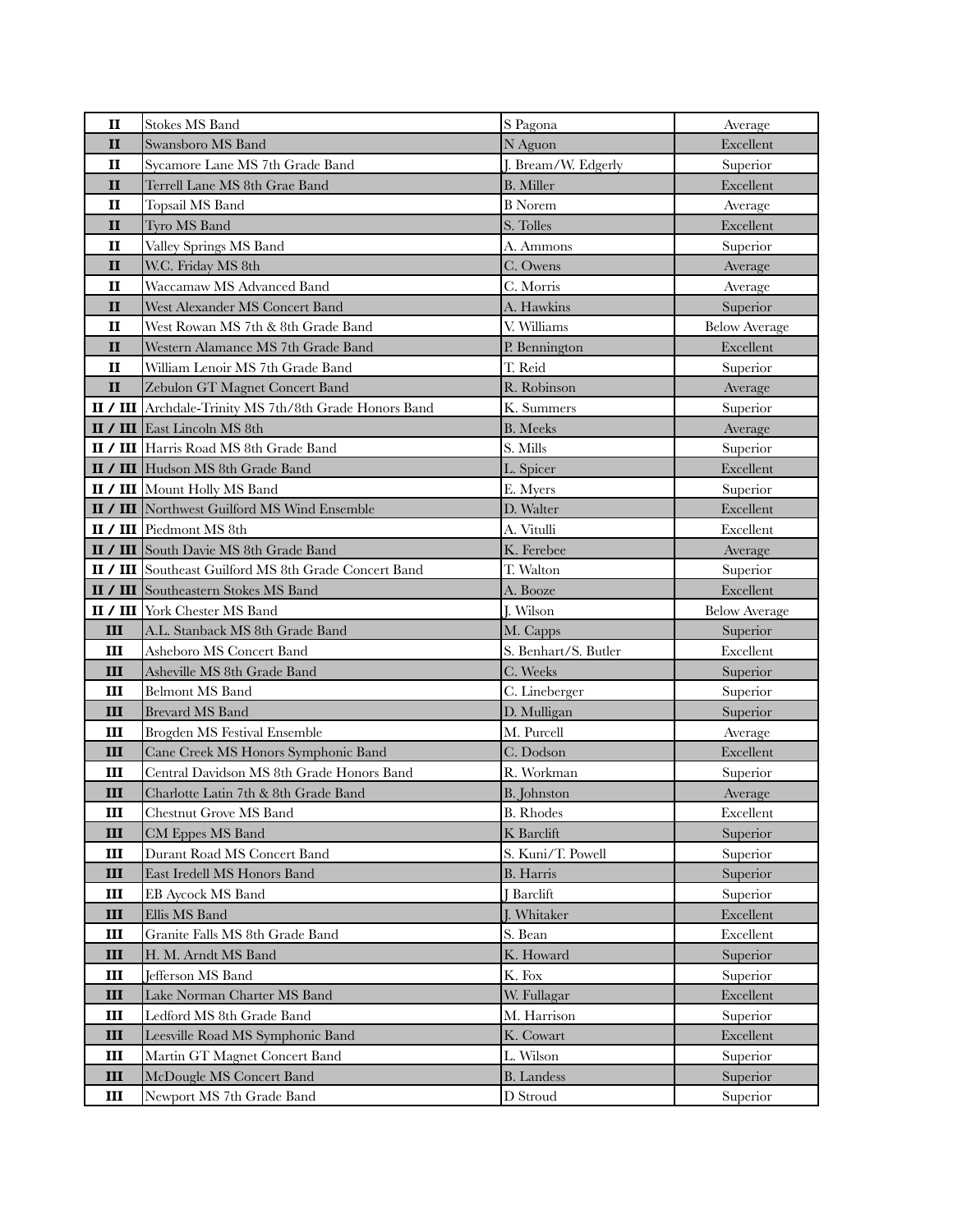| $\mathbf{I}$ | <b>Stokes MS Band</b>                                         | S Pagona                      | Average              |
|--------------|---------------------------------------------------------------|-------------------------------|----------------------|
| $\mathbf{I}$ | Swansboro MS Band                                             | N Aguon                       | Excellent            |
| $\mathbf{I}$ | Sycamore Lane MS 7th Grade Band                               | J. Bream/W. Edgerly           | Superior             |
| $\mathbf{I}$ | Terrell Lane MS 8th Grae Band                                 | <b>B.</b> Miller              | Excellent            |
| $\mathbf{I}$ | Topsail MS Band                                               | <b>B</b> Norem                | Average              |
| $\mathbf{I}$ | Tyro MS Band                                                  | S. Tolles                     | Excellent            |
| $\mathbf{I}$ | Valley Springs MS Band                                        | A. Ammons                     | Superior             |
| $\mathbf{I}$ | W.C. Friday MS 8th                                            | C. Owens                      | Average              |
| $\mathbf{I}$ | Waccamaw MS Advanced Band                                     | C. Morris                     | Average              |
| $\mathbf{I}$ | West Alexander MS Concert Band                                | A. Hawkins                    | Superior             |
| $\mathbf{I}$ | West Rowan MS 7th & 8th Grade Band                            | V. Williams                   | <b>Below Average</b> |
| $\mathbf{I}$ | Western Alamance MS 7th Grade Band                            | P. Bennington                 | Excellent            |
| $\mathbf{I}$ | William Lenoir MS 7th Grade Band                              | T. Reid                       | Superior             |
| $\mathbf{I}$ | Zebulon GT Magnet Concert Band                                | R. Robinson                   | Average              |
|              | <b>II / III</b> Archdale-Trinity MS 7th/8th Grade Honors Band | K. Summers                    | Superior             |
|              | <b>II</b> / <b>III</b> East Lincoln MS 8th                    | <b>B.</b> Meeks               | Average              |
|              | <b>II / III</b> Harris Road MS 8th Grade Band                 | S. Mills                      | Superior             |
|              | <b>II / III</b> Hudson MS 8th Grade Band                      | L. Spicer                     | Excellent            |
|              | <b>II / III</b> Mount Holly MS Band                           | E. Myers                      | Superior             |
|              | <b>II / III</b> Northwest Guilford MS Wind Ensemble           | D. Walter                     | Excellent            |
|              | II / III Piedmont MS 8th                                      | A. Vitulli                    | Excellent            |
|              | II / III South Davie MS 8th Grade Band                        | K. Ferebee                    | Average              |
|              | <b>II / III</b> Southeast Guilford MS 8th Grade Concert Band  | T. Walton                     | Superior             |
|              | <b>II / III</b> Southeastern Stokes MS Band                   | A. Booze                      | Excellent            |
|              | <b>II / III</b> York Chester MS Band                          | J. Wilson                     | <b>Below Average</b> |
|              |                                                               |                               |                      |
| Ш            | A.L. Stanback MS 8th Grade Band                               | M. Capps                      | Superior             |
| Ш            | Asheboro MS Concert Band                                      | S. Benhart/S. Butler          | Excellent            |
| III          | Asheville MS 8th Grade Band                                   | C. Weeks                      | Superior             |
| Ш            | <b>Belmont MS Band</b>                                        | C. Lineberger                 | Superior             |
| III          | <b>Brevard MS Band</b>                                        | D. Mulligan                   | Superior             |
| Ш            | Brogden MS Festival Ensemble                                  | M. Purcell                    | Average              |
| III          | Cane Creek MS Honors Symphonic Band                           | C. Dodson                     | Excellent            |
| Ш            | Central Davidson MS 8th Grade Honors Band                     | R. Workman                    | Superior             |
| Ш            | Charlotte Latin 7th & 8th Grade Band                          | <b>B.</b> Johnston            | Average              |
| Ш            | Chestnut Grove MS Band                                        | <b>B.</b> Rhodes              | Excellent            |
| Ш            | CM Eppes MS Band                                              | K Barclift                    | Superior             |
| Ш            | Durant Road MS Concert Band                                   | S. Kuni/T. Powell             | Superior             |
| III          | East Iredell MS Honors Band                                   | <b>B.</b> Harris              | Superior             |
| Ш            | <b>EB Aycock MS Band</b>                                      | <b>Barclift</b>               | Superior             |
| III          | Ellis MS Band                                                 | J. Whitaker                   | Excellent            |
| Ш            | Granite Falls MS 8th Grade Band                               | S. Bean                       | Excellent            |
| III          | H. M. Arndt MS Band                                           | K. Howard                     | Superior             |
| Ш            | Jefferson MS Band                                             | K. Fox                        | Superior             |
| III          | Lake Norman Charter MS Band                                   | W. Fullagar                   | Excellent            |
| Ш            | Ledford MS 8th Grade Band                                     | M. Harrison                   | Superior             |
| III          | Leesville Road MS Symphonic Band                              | K. Cowart                     | Excellent            |
| Ш            | Martin GT Magnet Concert Band                                 | L. Wilson                     | Superior             |
| III<br>III   | McDougle MS Concert Band<br>Newport MS 7th Grade Band         | <b>B.</b> Landess<br>D Stroud | Superior<br>Superior |